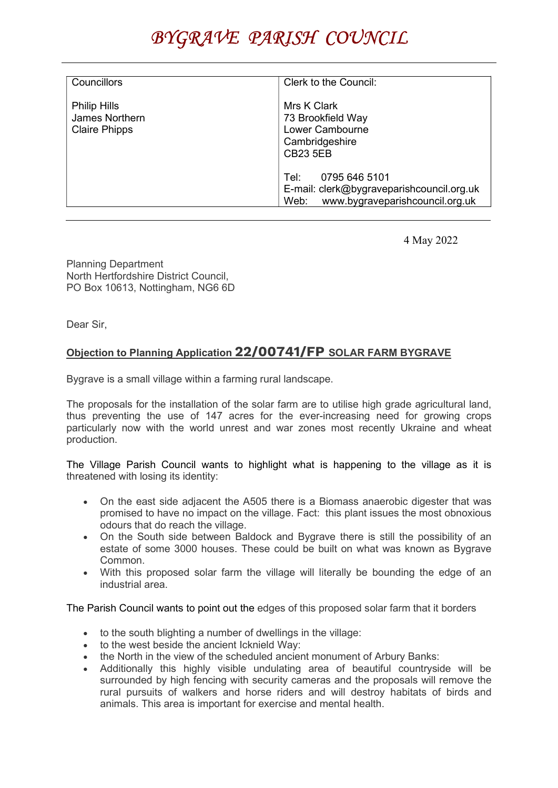| <b>Councillors</b>                                                   | Clerk to the Council:                                                                                         |
|----------------------------------------------------------------------|---------------------------------------------------------------------------------------------------------------|
| <b>Philip Hills</b><br><b>James Northern</b><br><b>Claire Phipps</b> | Mrs K Clark<br>73 Brookfield Way<br>Lower Cambourne<br>Cambridgeshire<br><b>CB23 5EB</b>                      |
|                                                                      | 0795 646 5101<br>Tel:<br>E-mail: clerk@bygraveparishcouncil.org.uk<br>www.bygraveparishcouncil.org.uk<br>Web: |

4 May 2022

Planning Department North Hertfordshire District Council, PO Box 10613, Nottingham, NG6 6D

Dear Sir,

## Objection to Planning Application 22/00741/FP SOLAR FARM BYGRAVE

Bygrave is a small village within a farming rural landscape.

The proposals for the installation of the solar farm are to utilise high grade agricultural land, thus preventing the use of 147 acres for the ever-increasing need for growing crops particularly now with the world unrest and war zones most recently Ukraine and wheat production.

The Village Parish Council wants to highlight what is happening to the village as it is threatened with losing its identity:

- On the east side adjacent the A505 there is a Biomass anaerobic digester that was promised to have no impact on the village. Fact: this plant issues the most obnoxious odours that do reach the village.
- On the South side between Baldock and Bygrave there is still the possibility of an estate of some 3000 houses. These could be built on what was known as Bygrave Common.
- With this proposed solar farm the village will literally be bounding the edge of an industrial area.

The Parish Council wants to point out the edges of this proposed solar farm that it borders

- to the south blighting a number of dwellings in the village:
- to the west beside the ancient Icknield Way:
- the North in the view of the scheduled ancient monument of Arbury Banks:
- Additionally this highly visible undulating area of beautiful countryside will be surrounded by high fencing with security cameras and the proposals will remove the rural pursuits of walkers and horse riders and will destroy habitats of birds and animals. This area is important for exercise and mental health.